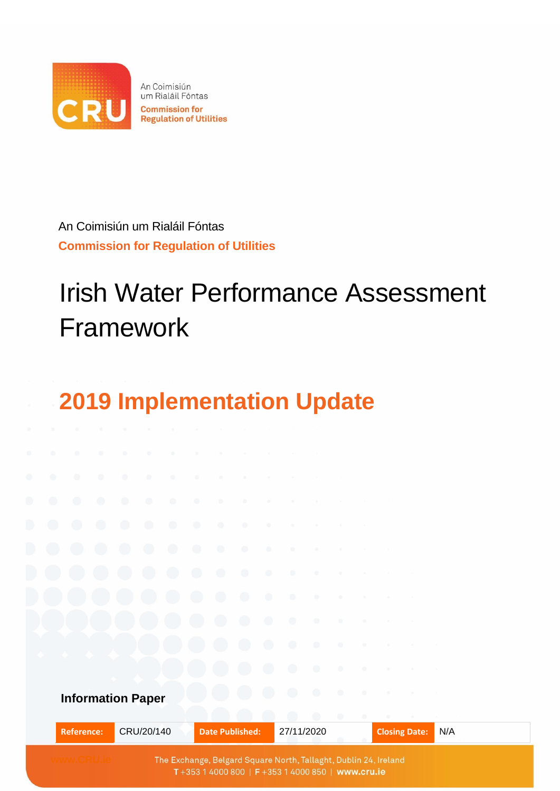

An Coimisiún um Rialáil Fóntas **Commission for Regulation of Utilities** 

An Coimisiún um Rialáil Fóntas **Commission for Regulation of Utilities**

# Irish Water Performance Assessment Framework



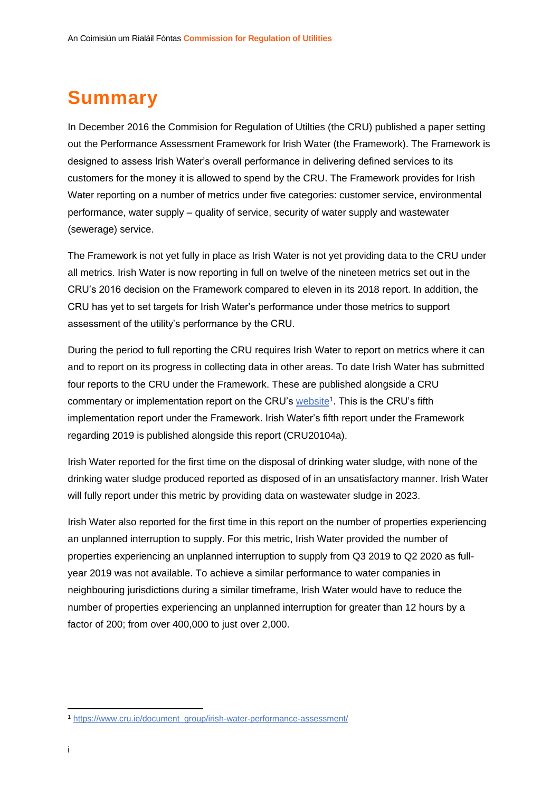## <span id="page-1-0"></span>**Summary**

In December 2016 the Commision for Regulation of Utilties (the CRU) published a paper setting out the Performance Assessment Framework for Irish Water (the Framework). The Framework is designed to assess Irish Water's overall performance in delivering defined services to its customers for the money it is allowed to spend by the CRU. The Framework provides for Irish Water reporting on a number of metrics under five categories: customer service, environmental performance, water supply – quality of service, security of water supply and wastewater (sewerage) service.

The Framework is not yet fully in place as Irish Water is not yet providing data to the CRU under all metrics. Irish Water is now reporting in full on twelve of the nineteen metrics set out in the CRU's 2016 decision on the Framework compared to eleven in its 2018 report. In addition, the CRU has yet to set targets for Irish Water's performance under those metrics to support assessment of the utility's performance by the CRU.

During the period to full reporting the CRU requires Irish Water to report on metrics where it can and to report on its progress in collecting data in other areas. To date Irish Water has submitted four reports to the CRU under the Framework. These are published alongside a CRU commentary or implementation report on the CRU's [website](https://www.cru.ie/document_group/irish-water-performance-assessment/)<sup>1</sup>. This is the CRU's fifth implementation report under the Framework. Irish Water's fifth report under the Framework regarding 2019 is published alongside this report (CRU20104a).

Irish Water reported for the first time on the disposal of drinking water sludge, with none of the drinking water sludge produced reported as disposed of in an unsatisfactory manner. Irish Water will fully report under this metric by providing data on wastewater sludge in 2023.

Irish Water also reported for the first time in this report on the number of properties experiencing an unplanned interruption to supply. For this metric, Irish Water provided the number of properties experiencing an unplanned interruption to supply from Q3 2019 to Q2 2020 as fullyear 2019 was not available. To achieve a similar performance to water companies in neighbouring jurisdictions during a similar timeframe, Irish Water would have to reduce the number of properties experiencing an unplanned interruption for greater than 12 hours by a factor of 200; from over 400,000 to just over 2,000.

<sup>1</sup> [https://www.cru.ie/document\\_group/irish-water-performance-assessment/](https://www.cru.ie/document_group/irish-water-performance-assessment/)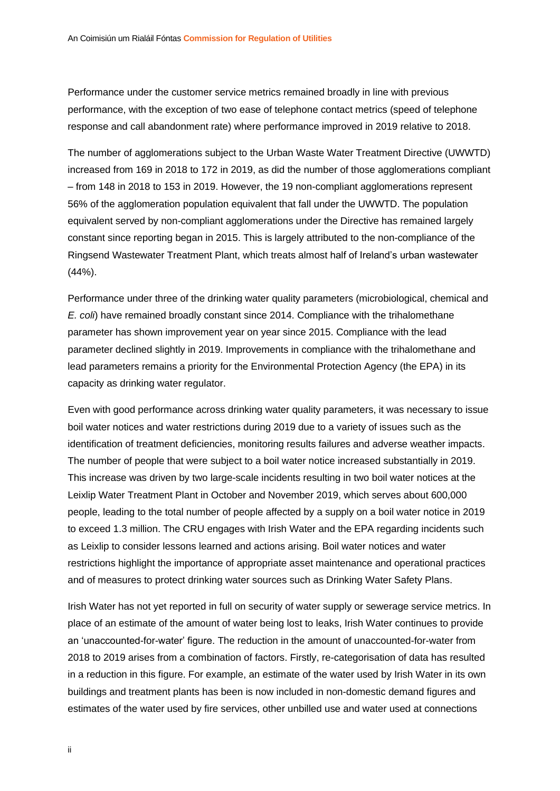Performance under the customer service metrics remained broadly in line with previous performance, with the exception of two ease of telephone contact metrics (speed of telephone response and call abandonment rate) where performance improved in 2019 relative to 2018.

The number of agglomerations subject to the Urban Waste Water Treatment Directive (UWWTD) increased from 169 in 2018 to 172 in 2019, as did the number of those agglomerations compliant – from 148 in 2018 to 153 in 2019. However, the 19 non-compliant agglomerations represent 56% of the agglomeration population equivalent that fall under the UWWTD. The population equivalent served by non-compliant agglomerations under the Directive has remained largely constant since reporting began in 2015. This is largely attributed to the non-compliance of the Ringsend Wastewater Treatment Plant, which treats almost half of Ireland's urban wastewater (44%).

Performance under three of the drinking water quality parameters (microbiological, chemical and *E. coli*) have remained broadly constant since 2014. Compliance with the trihalomethane parameter has shown improvement year on year since 2015. Compliance with the lead parameter declined slightly in 2019. Improvements in compliance with the trihalomethane and lead parameters remains a priority for the Environmental Protection Agency (the EPA) in its capacity as drinking water regulator.

Even with good performance across drinking water quality parameters, it was necessary to issue boil water notices and water restrictions during 2019 due to a variety of issues such as the identification of treatment deficiencies, monitoring results failures and adverse weather impacts. The number of people that were subject to a boil water notice increased substantially in 2019. This increase was driven by two large-scale incidents resulting in two boil water notices at the Leixlip Water Treatment Plant in October and November 2019, which serves about 600,000 people, leading to the total number of people affected by a supply on a boil water notice in 2019 to exceed 1.3 million. The CRU engages with Irish Water and the EPA regarding incidents such as Leixlip to consider lessons learned and actions arising. Boil water notices and water restrictions highlight the importance of appropriate asset maintenance and operational practices and of measures to protect drinking water sources such as Drinking Water Safety Plans.

Irish Water has not yet reported in full on security of water supply or sewerage service metrics. In place of an estimate of the amount of water being lost to leaks, Irish Water continues to provide an 'unaccounted-for-water' figure. The reduction in the amount of unaccounted-for-water from 2018 to 2019 arises from a combination of factors. Firstly, re-categorisation of data has resulted in a reduction in this figure. For example, an estimate of the water used by Irish Water in its own buildings and treatment plants has been is now included in non-domestic demand figures and estimates of the water used by fire services, other unbilled use and water used at connections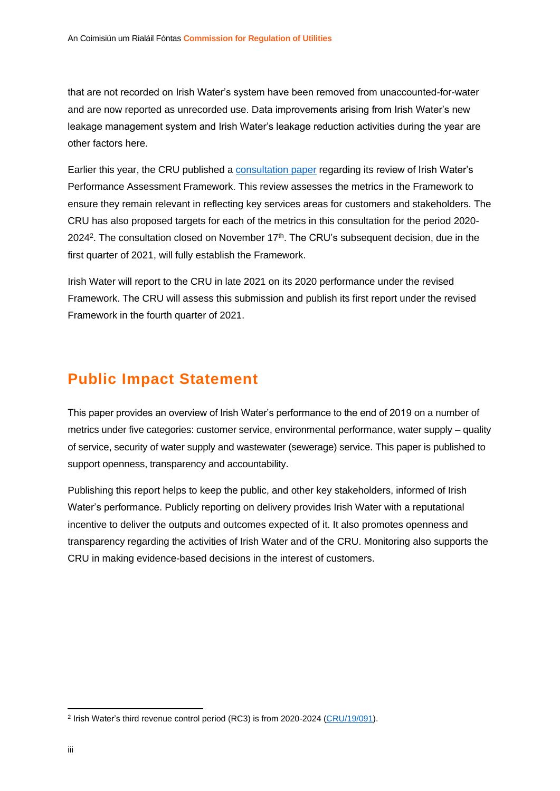that are not recorded on Irish Water's system have been removed from unaccounted-for-water and are now reported as unrecorded use. Data improvements arising from Irish Water's new leakage management system and Irish Water's leakage reduction activities during the year are other factors here.

Earlier this year, the CRU published a [consultation paper](https://www.cru.ie/wp-content/uploads/2020/10/CRU20119-Irish-Water-Performance-Assessment-Framework-Review-Consultation-Paper.pdf) regarding its review of Irish Water's Performance Assessment Framework. This review assesses the metrics in the Framework to ensure they remain relevant in reflecting key services areas for customers and stakeholders. The CRU has also proposed targets for each of the metrics in this consultation for the period 2020- 2024<sup>2</sup>. The consultation closed on November  $17<sup>th</sup>$ . The CRU's subsequent decision, due in the first quarter of 2021, will fully establish the Framework.

Irish Water will report to the CRU in late 2021 on its 2020 performance under the revised Framework. The CRU will assess this submission and publish its first report under the revised Framework in the fourth quarter of 2021.

### <span id="page-3-0"></span>**Public Impact Statement**

This paper provides an overview of Irish Water's performance to the end of 2019 on a number of metrics under five categories: customer service, environmental performance, water supply – quality of service, security of water supply and wastewater (sewerage) service. This paper is published to support openness, transparency and accountability.

Publishing this report helps to keep the public, and other key stakeholders, informed of Irish Water's performance. Publicly reporting on delivery provides Irish Water with a reputational incentive to deliver the outputs and outcomes expected of it. It also promotes openness and transparency regarding the activities of Irish Water and of the CRU. Monitoring also supports the CRU in making evidence-based decisions in the interest of customers.

<sup>&</sup>lt;sup>2</sup> Irish Water's third revenue control period (RC3) is from 2020-2024 [\(CRU/19/091\)](https://www.cru.ie/wp-content/uploads/2019/08/CRU19091-Irish-Water-Revenue-Control-3-Consultation-Paper-7.pdf).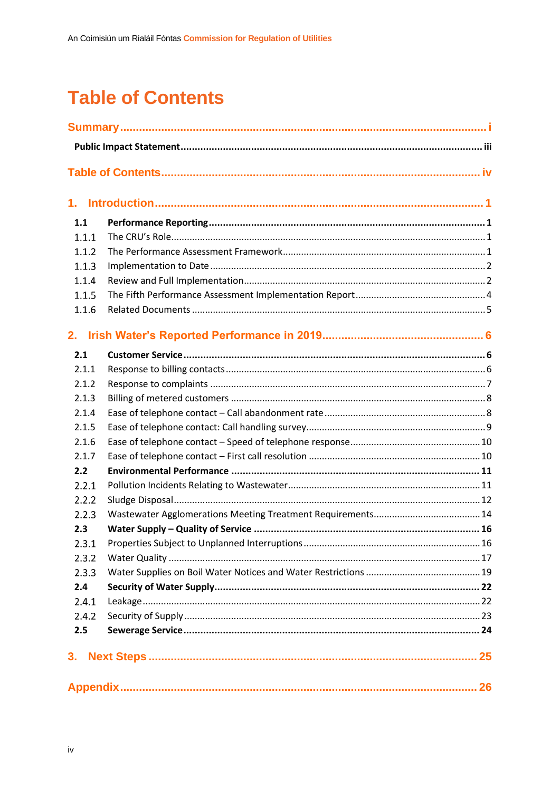## <span id="page-4-0"></span>**Table of Contents**

| 1.    |  |
|-------|--|
| 1.1   |  |
| 1.1.1 |  |
| 1.1.2 |  |
| 1.1.3 |  |
| 1.1.4 |  |
| 1.1.5 |  |
| 1.1.6 |  |
| 2.    |  |
| 2.1   |  |
| 2.1.1 |  |
| 2.1.2 |  |
| 2.1.3 |  |
| 2.1.4 |  |
| 2.1.5 |  |
| 2.1.6 |  |
| 2.1.7 |  |
| 2.2   |  |
| 2.2.1 |  |
| 2.2.2 |  |
| 2.2.3 |  |
| 2.3   |  |
| 2.3.1 |  |
| 2.3.2 |  |
| 2.3.3 |  |
| 2.4   |  |
| 2.4.1 |  |
| 2.4.2 |  |
| 2.5   |  |
| 3.    |  |
|       |  |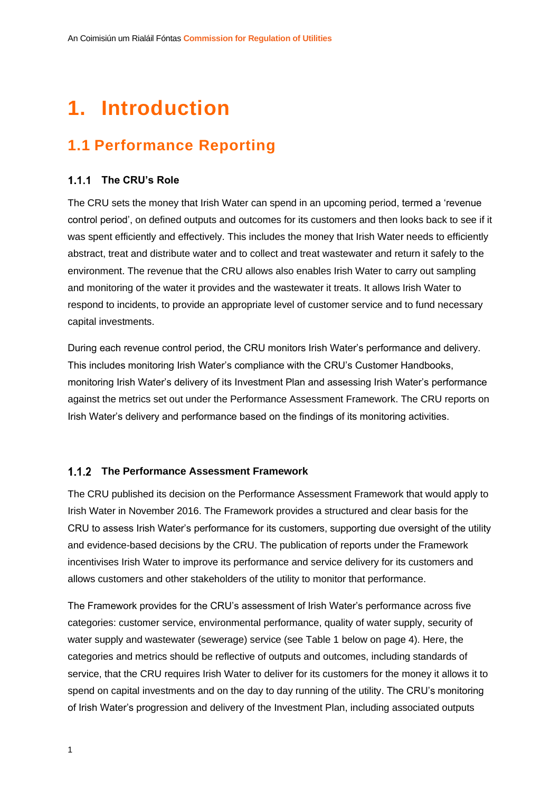## <span id="page-5-0"></span>**1. Introduction**

## <span id="page-5-1"></span>**1.1 Performance Reporting**

#### <span id="page-5-2"></span>**The CRU's Role**

The CRU sets the money that Irish Water can spend in an upcoming period, termed a 'revenue control period', on defined outputs and outcomes for its customers and then looks back to see if it was spent efficiently and effectively. This includes the money that Irish Water needs to efficiently abstract, treat and distribute water and to collect and treat wastewater and return it safely to the environment. The revenue that the CRU allows also enables Irish Water to carry out sampling and monitoring of the water it provides and the wastewater it treats. It allows Irish Water to respond to incidents, to provide an appropriate level of customer service and to fund necessary capital investments.

During each revenue control period, the CRU monitors Irish Water's performance and delivery. This includes monitoring Irish Water's compliance with the CRU's Customer Handbooks, monitoring Irish Water's delivery of its Investment Plan and assessing Irish Water's performance against the metrics set out under the Performance Assessment Framework. The CRU reports on Irish Water's delivery and performance based on the findings of its monitoring activities.

#### <span id="page-5-3"></span>**The Performance Assessment Framework**

The CRU published its decision on the Performance Assessment Framework that would apply to Irish Water in November 2016. The Framework provides a structured and clear basis for the CRU to assess Irish Water's performance for its customers, supporting due oversight of the utility and evidence-based decisions by the CRU. The publication of reports under the Framework incentivises Irish Water to improve its performance and service delivery for its customers and allows customers and other stakeholders of the utility to monitor that performance.

The Framework provides for the CRU's assessment of Irish Water's performance across five categories: customer service, environmental performance, quality of water supply, security of water supply and wastewater (sewerage) service (see Table 1 below on page 4). Here, the categories and metrics should be reflective of outputs and outcomes, including standards of service, that the CRU requires Irish Water to deliver for its customers for the money it allows it to spend on capital investments and on the day to day running of the utility. The CRU's monitoring of Irish Water's progression and delivery of the Investment Plan, including associated outputs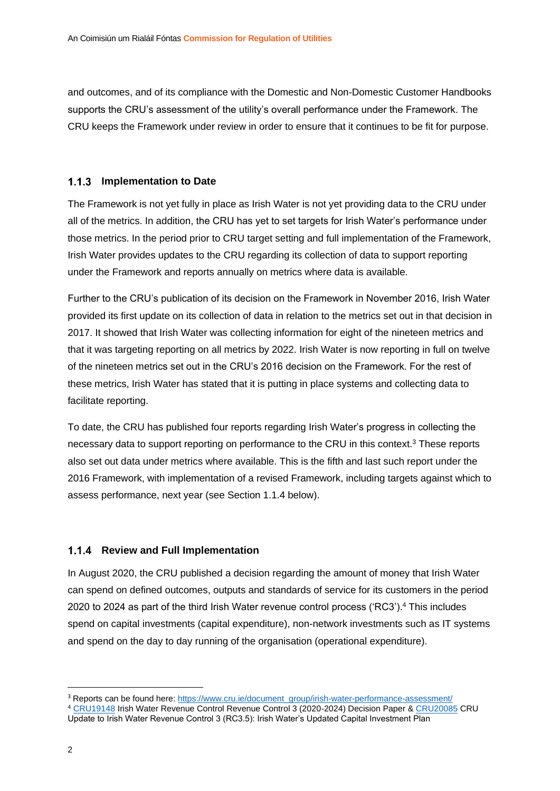and outcomes, and of its compliance with the Domestic and Non-Domestic Customer Handbooks supports the CRU's assessment of the utility's overall performance under the Framework. The CRU keeps the Framework under review in order to ensure that it continues to be fit for purpose.

#### <span id="page-6-0"></span>**1.1.3 Implementation to Date**

The Framework is not yet fully in place as Irish Water is not yet providing data to the CRU under all of the metrics. In addition, the CRU has yet to set targets for Irish Water's performance under those metrics. In the period prior to CRU target setting and full implementation of the Framework, Irish Water provides updates to the CRU regarding its collection of data to support reporting under the Framework and reports annually on metrics where data is available.

Further to the CRU's publication of its decision on the Framework in November 2016, Irish Water provided its first update on its collection of data in relation to the metrics set out in that decision in 2017. It showed that Irish Water was collecting information for eight of the nineteen metrics and that it was targeting reporting on all metrics by 2022. Irish Water is now reporting in full on twelve of the nineteen metrics set out in the CRU's 2016 decision on the Framework. For the rest of these metrics, Irish Water has stated that it is putting in place systems and collecting data to facilitate reporting.

To date, the CRU has published four reports regarding Irish Water's progress in collecting the necessary data to support reporting on performance to the CRU in this context.<sup>3</sup> These reports also set out data under metrics where available. This is the fifth and last such report under the 2016 Framework, with implementation of a revised Framework, including targets against which to assess performance, next year (see Section 1.1.4 below).

#### <span id="page-6-1"></span>**1.1.4 Review and Full Implementation**

In August 2020, the CRU published a decision regarding the amount of money that Irish Water can spend on defined outcomes, outputs and standards of service for its customers in the period 2020 to 2024 as part of the third Irish Water revenue control process ('RC3').<sup>4</sup> This includes spend on capital investments (capital expenditure), non-network investments such as IT systems and spend on the day to day running of the organisation (operational expenditure).

<sup>&</sup>lt;sup>3</sup> Reports can be found here: [https://www.cru.ie/document\\_group/irish-water-performance-assessment/](https://www.cru.ie/document_group/irish-water-performance-assessment/)

<sup>4</sup> [CRU19148](https://www.cru.ie/wp-content/uploads/2019/07/CRU19148-Irish-Water-Revenue-Control-3-Decision-Paper.pdf) Irish Water Revenue Control Revenue Control 3 (2020-2024) Decision Paper & [CRU20085](https://www.cru.ie/document_group/irish-water-revenue-control-3-2020-2024/) CRU Update to Irish Water Revenue Control 3 (RC3.5): Irish Water's Updated Capital Investment Plan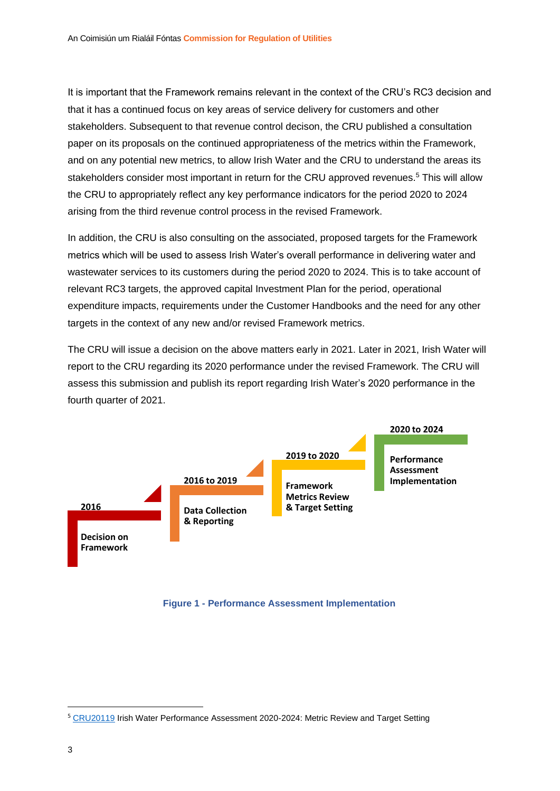It is important that the Framework remains relevant in the context of the CRU's RC3 decision and that it has a continued focus on key areas of service delivery for customers and other stakeholders. Subsequent to that revenue control decison, the CRU published a consultation paper on its proposals on the continued appropriateness of the metrics within the Framework, and on any potential new metrics, to allow Irish Water and the CRU to understand the areas its stakeholders consider most important in return for the CRU approved revenues. <sup>5</sup> This will allow the CRU to appropriately reflect any key performance indicators for the period 2020 to 2024 arising from the third revenue control process in the revised Framework.

In addition, the CRU is also consulting on the associated, proposed targets for the Framework metrics which will be used to assess Irish Water's overall performance in delivering water and wastewater services to its customers during the period 2020 to 2024. This is to take account of relevant RC3 targets, the approved capital Investment Plan for the period, operational expenditure impacts, requirements under the Customer Handbooks and the need for any other targets in the context of any new and/or revised Framework metrics.

The CRU will issue a decision on the above matters early in 2021. Later in 2021, Irish Water will report to the CRU regarding its 2020 performance under the revised Framework. The CRU will assess this submission and publish its report regarding Irish Water's 2020 performance in the fourth quarter of 2021.



#### **Figure 1 - Performance Assessment Implementation**

<sup>5</sup> [CRU20119](https://www.cru.ie/document_group/irish-water-performance-assessment/) Irish Water Performance Assessment 2020-2024: Metric Review and Target Setting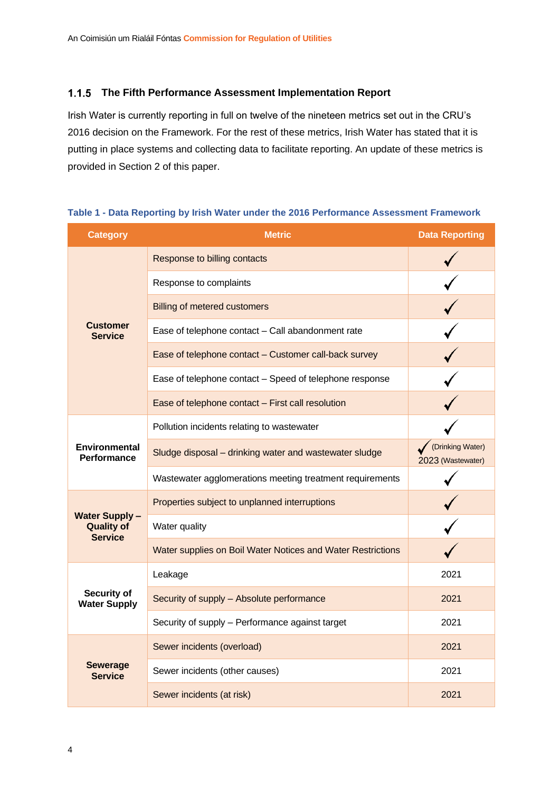#### <span id="page-8-0"></span>**The Fifth Performance Assessment Implementation Report**

Irish Water is currently reporting in full on twelve of the nineteen metrics set out in the CRU's 2016 decision on the Framework. For the rest of these metrics, Irish Water has stated that it is putting in place systems and collecting data to facilitate reporting. An update of these metrics is provided in Section 2 of this paper.

| <b>Category</b>                                             | <b>Metric</b>                                               | <b>Data Reporting</b>                 |
|-------------------------------------------------------------|-------------------------------------------------------------|---------------------------------------|
|                                                             | Response to billing contacts                                |                                       |
|                                                             | Response to complaints                                      |                                       |
|                                                             | <b>Billing of metered customers</b>                         |                                       |
| <b>Customer</b><br><b>Service</b>                           | Ease of telephone contact - Call abandonment rate           |                                       |
|                                                             | Ease of telephone contact - Customer call-back survey       |                                       |
|                                                             | Ease of telephone contact - Speed of telephone response     |                                       |
|                                                             | Ease of telephone contact - First call resolution           |                                       |
|                                                             | Pollution incidents relating to wastewater                  |                                       |
| <b>Environmental</b><br><b>Performance</b>                  | Sludge disposal - drinking water and wastewater sludge      | (Drinking Water)<br>2023 (Wastewater) |
|                                                             | Wastewater agglomerations meeting treatment requirements    |                                       |
|                                                             | Properties subject to unplanned interruptions               |                                       |
| <b>Water Supply-</b><br><b>Quality of</b><br><b>Service</b> | Water quality                                               |                                       |
|                                                             | Water supplies on Boil Water Notices and Water Restrictions |                                       |
|                                                             | Leakage                                                     | 2021                                  |
| Security of<br><b>Water Supply</b>                          | Security of supply - Absolute performance                   | 2021                                  |
|                                                             | Security of supply - Performance against target             | 2021                                  |
|                                                             | Sewer incidents (overload)                                  | 2021                                  |
| <b>Sewerage</b><br><b>Service</b>                           | Sewer incidents (other causes)                              | 2021                                  |
|                                                             | Sewer incidents (at risk)                                   | 2021                                  |

#### **Table 1 - Data Reporting by Irish Water under the 2016 Performance Assessment Framework**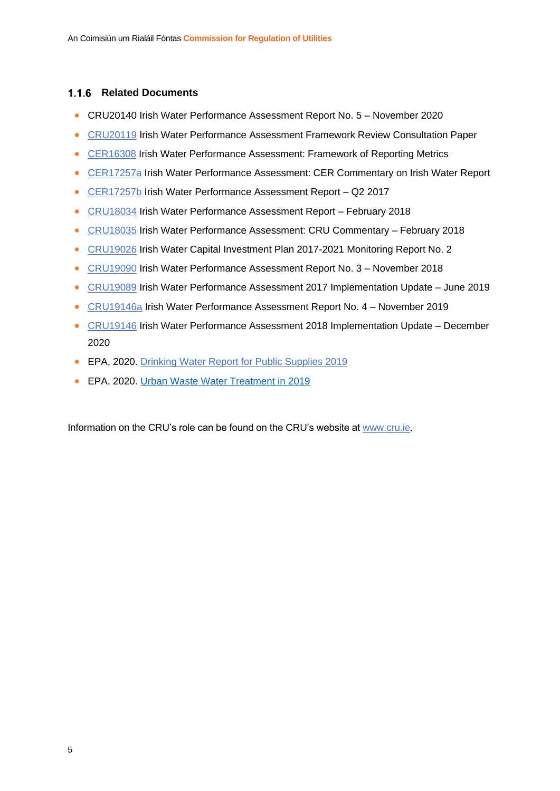#### <span id="page-9-0"></span>**1.1.6 Related Documents**

- CRU20140 Irish Water Performance Assessment Report No. 5 November 2020
- [CRU20119](https://www.cru.ie/wp-content/uploads/2020/10/CRU20119-Irish-Water-Performance-Assessment-Framework-Review-Consultation-Paper.pdf) Irish Water Performance Assessment Framework Review Consultation Paper
- [CER16308](https://www.cru.ie/wp-content/uploads/2016/07/CER16308-Irish-Water-Performance-Assessment-Decision-on-Framework.pdf) Irish Water Performance Assessment: Framework of Reporting Metrics
- [CER17257a](https://www.cru.ie/wp-content/uploads/2016/11/CER17257a-Irish-Water-Performance-Assessment-CER-Commentary-No1.pdf) Irish Water Performance Assessment: CER Commentary on Irish Water Report
- [CER17257b](https://www.cru.ie/wp-content/uploads/2016/11/CER17257b-Irish-Water-Performance-Assessment-Aug-2017.pdf) Irish Water Performance Assessment Report Q2 2017
- [CRU18034](https://www.cru.ie/wp-content/uploads/2016/11/CRU18034-Irish-Water-Performance-Assessment-Report-No.-2-February-2018.pdf) Irish Water Performance Assessment Report February 2018
- [CRU18035](https://www.cru.ie/wp-content/uploads/2016/11/CRU18035-CRU-Commentary-Paper-on-Irish-Water-Report-No.-2-February-2018.pdf) Irish Water Performance Assessment: CRU Commentary February 2018
- [CRU19026](https://www.cru.ie/wp-content/uploads/2019/04/CRU190426-CRU-Monitoring-Report-No-2-Irish-Water-Capital-Investment-Plan-2017-2021.pdf) Irish Water Capital Investment Plan 2017-2021 Monitoring Report No. 2
- [CRU19090](https://www.cru.ie/wp-content/uploads/2019/07/CRU19090-Irish-Water-Performance-Assessment-Report-No.-3.pdf) Irish Water Performance Assessment Report No. 3 November 2018
- [CRU19089](https://www.cru.ie/wp-content/uploads/2019/07/CRU19089-Irish-Water-Performance-Assessment-Framework-2017-Implementation-Update.pdf) Irish Water Performance Assessment 2017 Implementation Update June 2019
- [CRU19146a](https://www.cru.ie/wp-content/uploads/2019/12/CRU19146a-Irish-Water-Performance-Assessment-Report-No.-4.pdf) Irish Water Performance Assessment Report No. 4 November 2019
- [CRU19146](https://www.cru.ie/wp-content/uploads/2019/12/CRU19146-Irish-Water-Performance-Assessment-Framework-2018-Implementation-Update.pdf) Irish Water Performance Assessment 2018 Implementation Update December 2020
- EPA, 2020. [Drinking Water Report for Public Supplies 2019](https://www.epa.ie/pubs/reports/water/drinking/DW%20Quality%20in%20Public%20Supplies%202019_web.pdf)
- EPA, 2020. [Urban Waste Water Treatment in 2019](https://www.epa.ie/pubs/reports/water/wastewater/urbanwastewatertreatmentin2019.html)

Information on the CRU's role can be found on the CRU's website a[t www.cru.ie](http://www.cru.ie/)**.**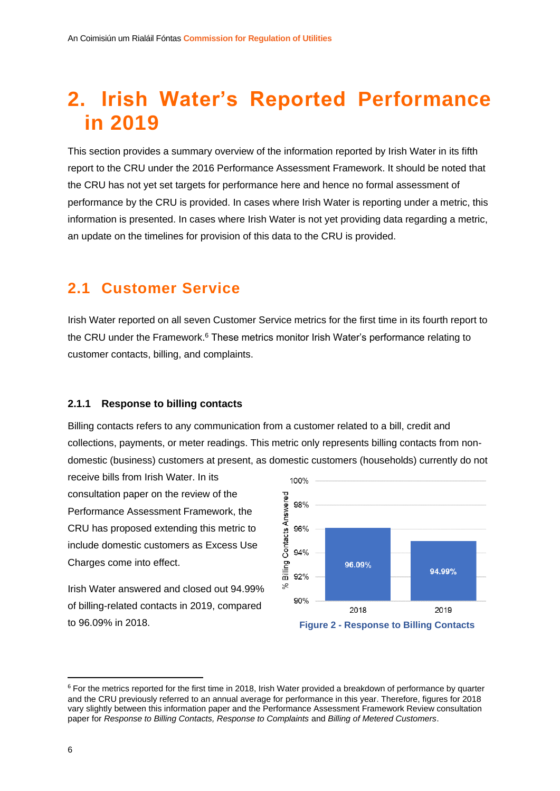## <span id="page-10-0"></span>**2. Irish Water's Reported Performance in 2019**

This section provides a summary overview of the information reported by Irish Water in its fifth report to the CRU under the 2016 Performance Assessment Framework. It should be noted that the CRU has not yet set targets for performance here and hence no formal assessment of performance by the CRU is provided. In cases where Irish Water is reporting under a metric, this information is presented. In cases where Irish Water is not yet providing data regarding a metric, an update on the timelines for provision of this data to the CRU is provided.

### <span id="page-10-1"></span>**2.1 Customer Service**

Irish Water reported on all seven Customer Service metrics for the first time in its fourth report to the CRU under the Framework.<sup>6</sup> These metrics monitor Irish Water's performance relating to customer contacts, billing, and complaints.

#### <span id="page-10-2"></span>**2.1.1 Response to billing contacts**

Billing contacts refers to any communication from a customer related to a bill, credit and collections, payments, or meter readings. This metric only represents billing contacts from nondomestic (business) customers at present, as domestic customers (households) currently do not

receive bills from Irish Water. In its consultation paper on the review of the Performance Assessment Framework, the CRU has proposed extending this metric to include domestic customers as Excess Use Charges come into effect.

Irish Water answered and closed out 94.99% of billing-related contacts in 2019, compared to 96.09% in 2018.



<sup>&</sup>lt;sup>6</sup> For the metrics reported for the first time in 2018, Irish Water provided a breakdown of performance by quarter and the CRU previously referred to an annual average for performance in this year. Therefore, figures for 2018 vary slightly between this information paper and the Performance Assessment Framework Review consultation paper for *Response to Billing Contacts, Response to Complaints* and *Billing of Metered Customers*.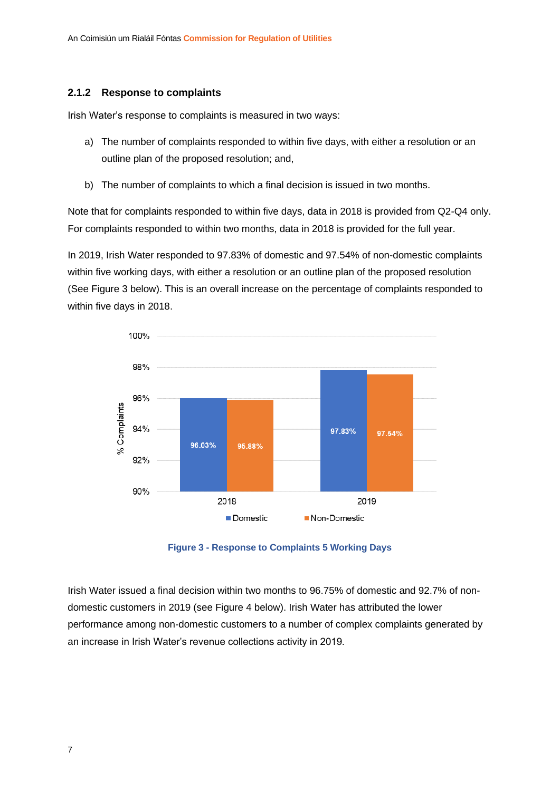#### <span id="page-11-0"></span>**2.1.2 Response to complaints**

Irish Water's response to complaints is measured in two ways:

- a) The number of complaints responded to within five days, with either a resolution or an outline plan of the proposed resolution; and,
- b) The number of complaints to which a final decision is issued in two months.

Note that for complaints responded to within five days, data in 2018 is provided from Q2-Q4 only. For complaints responded to within two months, data in 2018 is provided for the full year.

In 2019, Irish Water responded to 97.83% of domestic and 97.54% of non-domestic complaints within five working days, with either a resolution or an outline plan of the proposed resolution (See Figure 3 below). This is an overall increase on the percentage of complaints responded to within five days in 2018.



**Figure 3 - Response to Complaints 5 Working Days**

Irish Water issued a final decision within two months to 96.75% of domestic and 92.7% of nondomestic customers in 2019 (see Figure 4 below). Irish Water has attributed the lower performance among non-domestic customers to a number of complex complaints generated by an increase in Irish Water's revenue collections activity in 2019*.*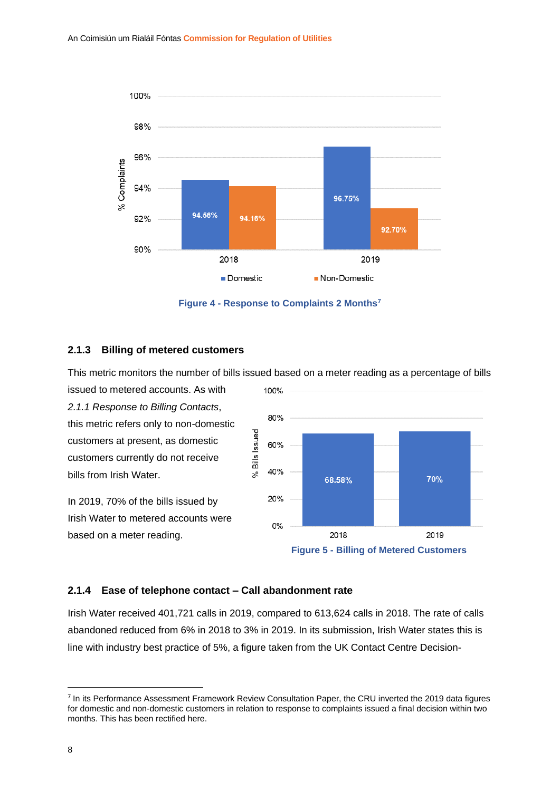

**Figure 4 - Response to Complaints 2 Months<sup>7</sup>**

#### <span id="page-12-0"></span>**2.1.3 Billing of metered customers**

This metric monitors the number of bills issued based on a meter reading as a percentage of bills

issued to metered accounts. As with *2.1.1 Response to Billing Contacts*, this metric refers only to non-domestic customers at present, as domestic customers currently do not receive bills from Irish Water.

In 2019, 70% of the bills issued by Irish Water to metered accounts were based on a meter reading.



#### <span id="page-12-1"></span>**2.1.4 Ease of telephone contact – Call abandonment rate**

Irish Water received 401,721 calls in 2019, compared to 613,624 calls in 2018. The rate of calls abandoned reduced from 6% in 2018 to 3% in 2019. In its submission, Irish Water states this is line with industry best practice of 5%, a figure taken from the UK Contact Centre Decision-

<sup>&</sup>lt;sup>7</sup> In its Performance Assessment Framework Review Consultation Paper, the CRU inverted the 2019 data figures for domestic and non-domestic customers in relation to response to complaints issued a final decision within two months. This has been rectified here.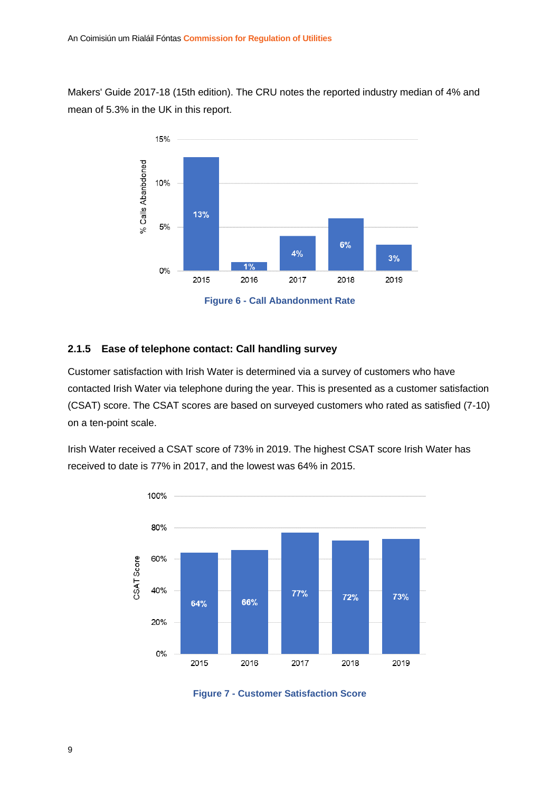Makers' Guide 2017-18 (15th edition). The CRU notes the reported industry median of 4% and mean of 5.3% in the UK in this report.



#### <span id="page-13-0"></span>**2.1.5 Ease of telephone contact: Call handling survey**

Customer satisfaction with Irish Water is determined via a survey of customers who have contacted Irish Water via telephone during the year. This is presented as a customer satisfaction (CSAT) score. The CSAT scores are based on surveyed customers who rated as satisfied (7-10) on a ten-point scale.

Irish Water received a CSAT score of 73% in 2019. The highest CSAT score Irish Water has received to date is 77% in 2017, and the lowest was 64% in 2015.



**Figure 7 - Customer Satisfaction Score**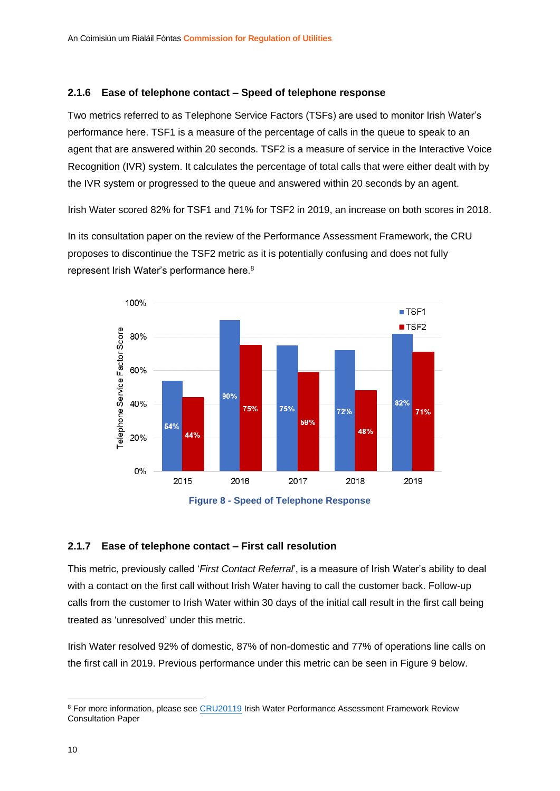#### <span id="page-14-0"></span>**2.1.6 Ease of telephone contact – Speed of telephone response**

Two metrics referred to as Telephone Service Factors (TSFs) are used to monitor Irish Water's performance here. TSF1 is a measure of the percentage of calls in the queue to speak to an agent that are answered within 20 seconds. TSF2 is a measure of service in the Interactive Voice Recognition (IVR) system. It calculates the percentage of total calls that were either dealt with by the IVR system or progressed to the queue and answered within 20 seconds by an agent.

Irish Water scored 82% for TSF1 and 71% for TSF2 in 2019, an increase on both scores in 2018.

In its consultation paper on the review of the Performance Assessment Framework, the CRU proposes to discontinue the TSF2 metric as it is potentially confusing and does not fully represent Irish Water's performance here.<sup>8</sup>



**Figure 8 - Speed of Telephone Response**

#### <span id="page-14-1"></span>**2.1.7 Ease of telephone contact – First call resolution**

This metric, previously called '*First Contact Referral*', is a measure of Irish Water's ability to deal with a contact on the first call without Irish Water having to call the customer back. Follow-up calls from the customer to Irish Water within 30 days of the initial call result in the first call being treated as 'unresolved' under this metric.

Irish Water resolved 92% of domestic, 87% of non-domestic and 77% of operations line calls on the first call in 2019. Previous performance under this metric can be seen in Figure 9 below.

<sup>&</sup>lt;sup>8</sup> For more information, please see [CRU20119](https://www.cru.ie/wp-content/uploads/2020/10/CRU20119-Irish-Water-Performance-Assessment-Framework-Review-Consultation-Paper.pdf) Irish Water Performance Assessment Framework Review Consultation Paper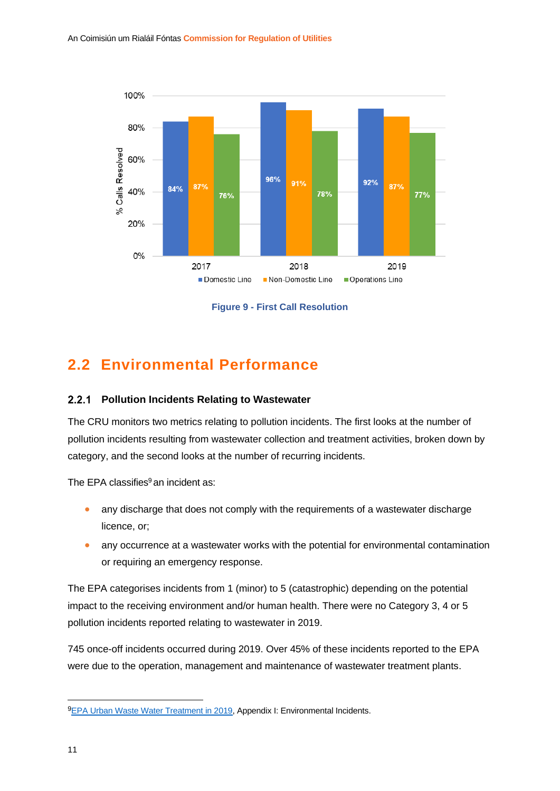

**Figure 9 - First Call Resolution**

### <span id="page-15-0"></span>**2.2 Environmental Performance**

#### <span id="page-15-1"></span>**Pollution Incidents Relating to Wastewater**

The CRU monitors two metrics relating to pollution incidents. The first looks at the number of pollution incidents resulting from wastewater collection and treatment activities, broken down by category, and the second looks at the number of recurring incidents.

The EPA classifies $9$  an incident as:

- any discharge that does not comply with the requirements of a wastewater discharge licence, or;
- any occurrence at a wastewater works with the potential for environmental contamination or requiring an emergency response.

The EPA categorises incidents from 1 (minor) to 5 (catastrophic) depending on the potential impact to the receiving environment and/or human health. There were no Category 3, 4 or 5 pollution incidents reported relating to wastewater in 2019.

745 once-off incidents occurred during 2019. Over 45% of these incidents reported to the EPA were due to the operation, management and maintenance of wastewater treatment plants.

<sup>9</sup>[EPA Urban Waste Water Treatment in 2019,](https://www.epa.ie/pubs/reports/water/wastewater/Urban%20waste%20water%20treatment%20in%202019%20Report%20%20web%20version.pdf) Appendix I: Environmental Incidents.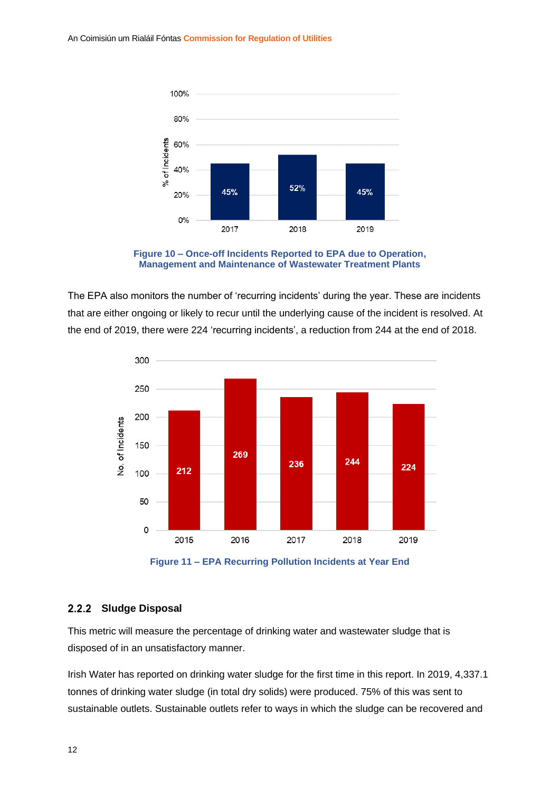

**Figure 10 – Once-off Incidents Reported to EPA due to Operation, Management and Maintenance of Wastewater Treatment Plants**

The EPA also monitors the number of 'recurring incidents' during the year. These are incidents that are either ongoing or likely to recur until the underlying cause of the incident is resolved. At the end of 2019, there were 224 'recurring incidents', a reduction from 244 at the end of 2018.



**Figure 11 – EPA Recurring Pollution Incidents at Year End**

#### <span id="page-16-0"></span>2.2.2 Sludge Disposal

This metric will measure the percentage of drinking water and wastewater sludge that is disposed of in an unsatisfactory manner.

Irish Water has reported on drinking water sludge for the first time in this report. In 2019, 4,337.1 tonnes of drinking water sludge (in total dry solids) were produced. 75% of this was sent to sustainable outlets. Sustainable outlets refer to ways in which the sludge can be recovered and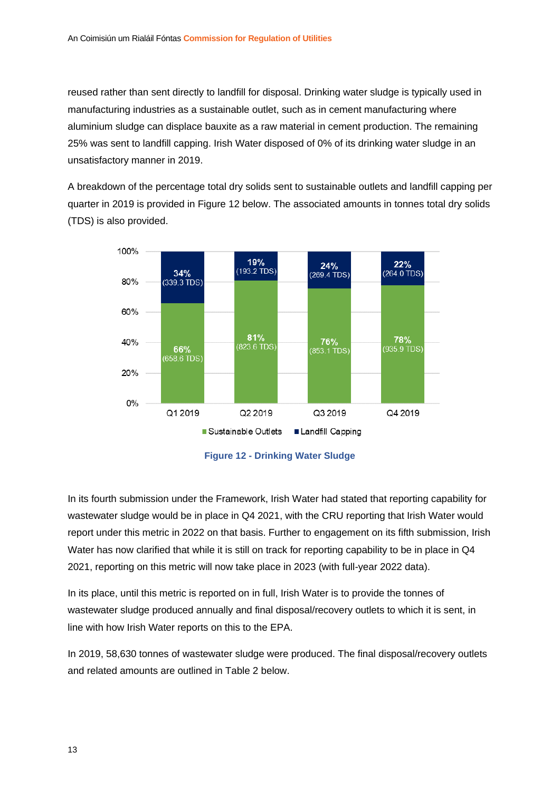reused rather than sent directly to landfill for disposal. Drinking water sludge is typically used in manufacturing industries as a sustainable outlet, such as in cement manufacturing where aluminium sludge can displace bauxite as a raw material in cement production. The remaining 25% was sent to landfill capping. Irish Water disposed of 0% of its drinking water sludge in an unsatisfactory manner in 2019.

A breakdown of the percentage total dry solids sent to sustainable outlets and landfill capping per quarter in 2019 is provided in Figure 12 below. The associated amounts in tonnes total dry solids (TDS) is also provided.



**Figure 12 - Drinking Water Sludge**

In its fourth submission under the Framework, Irish Water had stated that reporting capability for wastewater sludge would be in place in Q4 2021, with the CRU reporting that Irish Water would report under this metric in 2022 on that basis. Further to engagement on its fifth submission, Irish Water has now clarified that while it is still on track for reporting capability to be in place in Q4 2021, reporting on this metric will now take place in 2023 (with full-year 2022 data).

In its place, until this metric is reported on in full, Irish Water is to provide the tonnes of wastewater sludge produced annually and final disposal/recovery outlets to which it is sent, in line with how Irish Water reports on this to the EPA.

In 2019, 58,630 tonnes of wastewater sludge were produced. The final disposal/recovery outlets and related amounts are outlined in Table 2 below.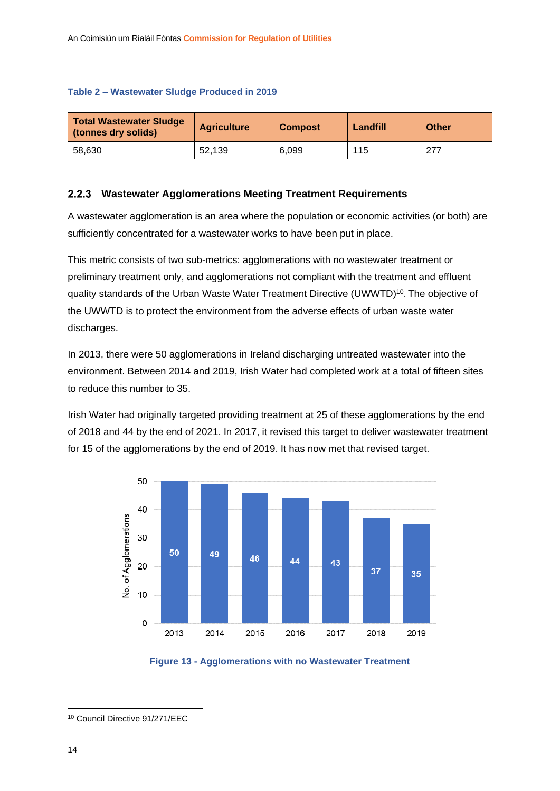#### **Table 2 – Wastewater Sludge Produced in 2019**

| <b>Total Wastewater Sludge</b><br>(tonnes dry solids) | <b>Agriculture</b> | <b>Compost</b> | Landfill | Other |
|-------------------------------------------------------|--------------------|----------------|----------|-------|
| 58.630                                                | 52.139             | 6.099          | 115      | 277   |

#### <span id="page-18-0"></span>**Wastewater Agglomerations Meeting Treatment Requirements**  $2.2.3$

A wastewater agglomeration is an area where the population or economic activities (or both) are sufficiently concentrated for a wastewater works to have been put in place.

This metric consists of two sub-metrics: agglomerations with no wastewater treatment or preliminary treatment only, and agglomerations not compliant with the treatment and effluent quality standards of the Urban Waste Water Treatment Directive (UWWTD)<sup>10</sup>. The objective of the UWWTD is to protect the environment from the adverse effects of [urban waste water](https://ec.europa.eu/environment/water/water-urbanwaste/info/glossary_en.htm#urbwastewater) discharges.

In 2013, there were 50 agglomerations in Ireland discharging untreated wastewater into the environment. Between 2014 and 2019, Irish Water had completed work at a total of fifteen sites to reduce this number to 35.

Irish Water had originally targeted providing treatment at 25 of these agglomerations by the end of 2018 and 44 by the end of 2021. In 2017, it revised this target to deliver wastewater treatment for 15 of the agglomerations by the end of 2019. It has now met that revised target.





<sup>10</sup> Council Directive 91/271/EEC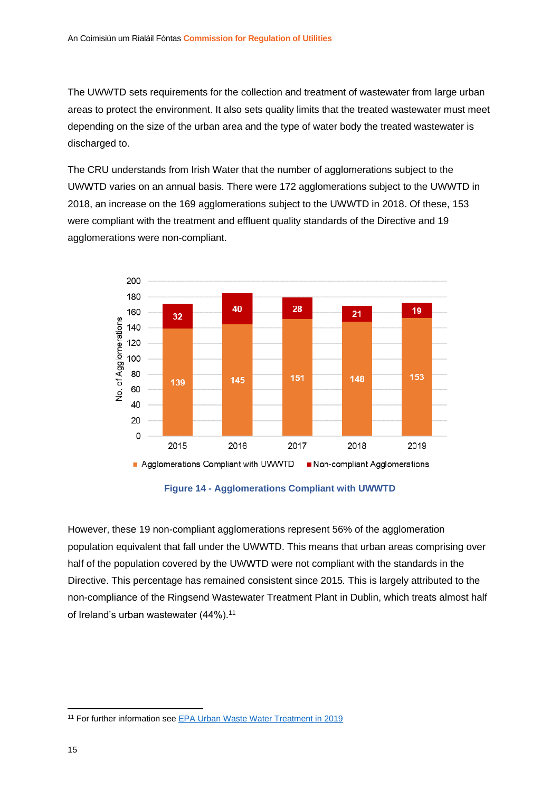The UWWTD sets requirements for the collection and treatment of wastewater from large urban areas to protect the environment. It also sets quality limits that the treated wastewater must meet depending on the size of the urban area and the type of water body the treated wastewater is discharged to.

The CRU understands from Irish Water that the number of agglomerations subject to the UWWTD varies on an annual basis. There were 172 agglomerations subject to the UWWTD in 2018, an increase on the 169 agglomerations subject to the UWWTD in 2018. Of these, 153 were compliant with the treatment and effluent quality standards of the Directive and 19 agglomerations were non-compliant.



**Figure 14 - Agglomerations Compliant with UWWTD**

However, these 19 non-compliant agglomerations represent 56% of the agglomeration population equivalent that fall under the UWWTD. This means that urban areas comprising over half of the population covered by the UWWTD were not compliant with the standards in the Directive. This percentage has remained consistent since 2015*.* This is largely attributed to the non-compliance of the Ringsend Wastewater Treatment Plant in Dublin, which treats almost half of Ireland's urban wastewater (44%).<sup>11</sup>

<sup>11</sup> For further information se[e EPA Urban Waste Water Treatment in 2019](https://www.epa.ie/pubs/reports/water/wastewater/Urban%20waste%20water%20treatment%20in%202019%20Report%20%20web%20version.pdf)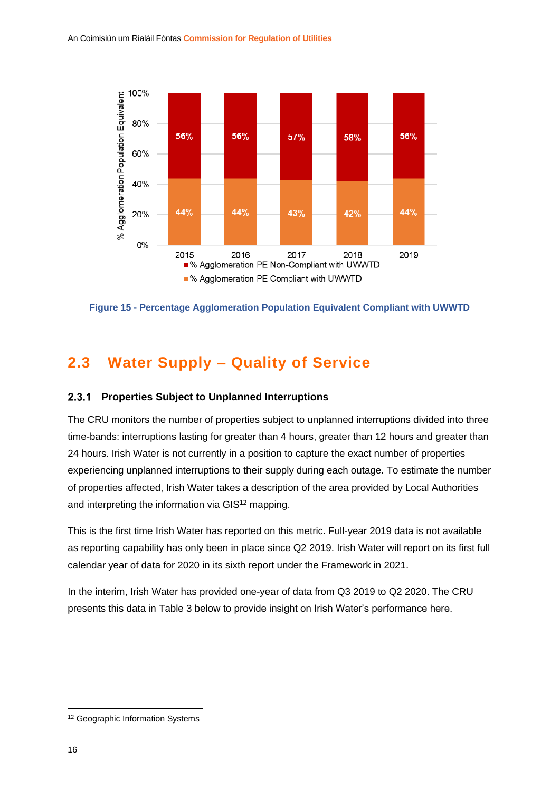

**Figure 15 - Percentage Agglomeration Population Equivalent Compliant with UWWTD**

### <span id="page-20-0"></span>**2.3 Water Supply – Quality of Service**

#### <span id="page-20-1"></span>**Properties Subject to Unplanned Interruptions**  $2.3.1$

The CRU monitors the number of properties subject to unplanned interruptions divided into three time-bands: interruptions lasting for greater than 4 hours, greater than 12 hours and greater than 24 hours. Irish Water is not currently in a position to capture the exact number of properties experiencing unplanned interruptions to their supply during each outage. To estimate the number of properties affected, Irish Water takes a description of the area provided by Local Authorities and interpreting the information via GIS<sup>12</sup> mapping.

This is the first time Irish Water has reported on this metric. Full-year 2019 data is not available as reporting capability has only been in place since Q2 2019. Irish Water will report on its first full calendar year of data for 2020 in its sixth report under the Framework in 2021.

In the interim, Irish Water has provided one-year of data from Q3 2019 to Q2 2020. The CRU presents this data in Table 3 below to provide insight on Irish Water's performance here.

<sup>&</sup>lt;sup>12</sup> Geographic Information Systems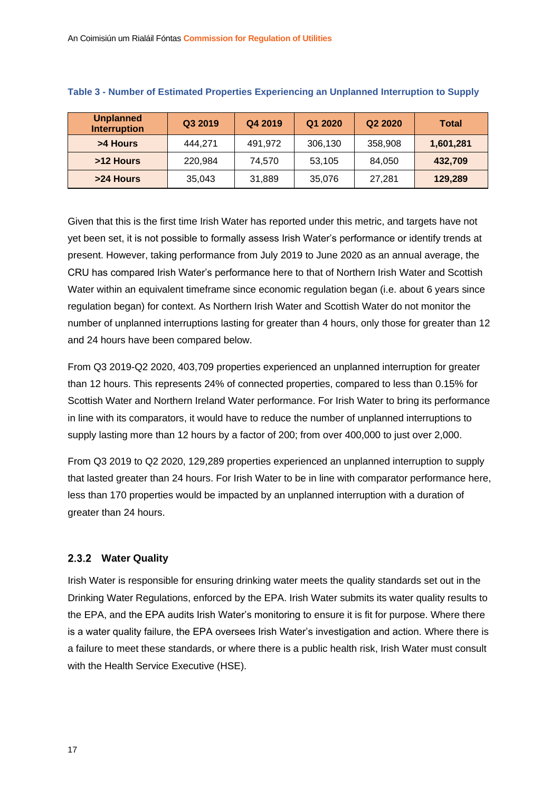| <b>Unplanned</b><br><b>Interruption</b> | Q3 2019 | Q4 2019 | Q1 2020 | Q2 2020 | <b>Total</b> |
|-----------------------------------------|---------|---------|---------|---------|--------------|
| >4 Hours                                | 444.271 | 491,972 | 306,130 | 358,908 | 1,601,281    |
| >12 Hours                               | 220.984 | 74.570  | 53,105  | 84,050  | 432,709      |
| >24 Hours                               | 35,043  | 31,889  | 35,076  | 27.281  | 129,289      |

#### **Table 3 - Number of Estimated Properties Experiencing an Unplanned Interruption to Supply**

Given that this is the first time Irish Water has reported under this metric, and targets have not yet been set, it is not possible to formally assess Irish Water's performance or identify trends at present. However, taking performance from July 2019 to June 2020 as an annual average, the CRU has compared Irish Water's performance here to that of Northern Irish Water and Scottish Water within an equivalent timeframe since economic regulation began (i.e. about 6 years since regulation began) for context. As Northern Irish Water and Scottish Water do not monitor the number of unplanned interruptions lasting for greater than 4 hours, only those for greater than 12 and 24 hours have been compared below.

From Q3 2019-Q2 2020, 403,709 properties experienced an unplanned interruption for greater than 12 hours. This represents 24% of connected properties, compared to less than 0.15% for Scottish Water and Northern Ireland Water performance. For Irish Water to bring its performance in line with its comparators, it would have to reduce the number of unplanned interruptions to supply lasting more than 12 hours by a factor of 200; from over 400,000 to just over 2,000.

From Q3 2019 to Q2 2020, 129,289 properties experienced an unplanned interruption to supply that lasted greater than 24 hours. For Irish Water to be in line with comparator performance here, less than 170 properties would be impacted by an unplanned interruption with a duration of greater than 24 hours.

#### <span id="page-21-0"></span>**Water Quality**

Irish Water is responsible for ensuring drinking water meets the quality standards set out in the Drinking Water Regulations, enforced by the EPA. Irish Water submits its water quality results to the EPA, and the EPA audits Irish Water's monitoring to ensure it is fit for purpose. Where there is a water quality failure, the EPA oversees Irish Water's investigation and action. Where there is a failure to meet these standards, or where there is a public health risk, Irish Water must consult with the Health Service Executive (HSE).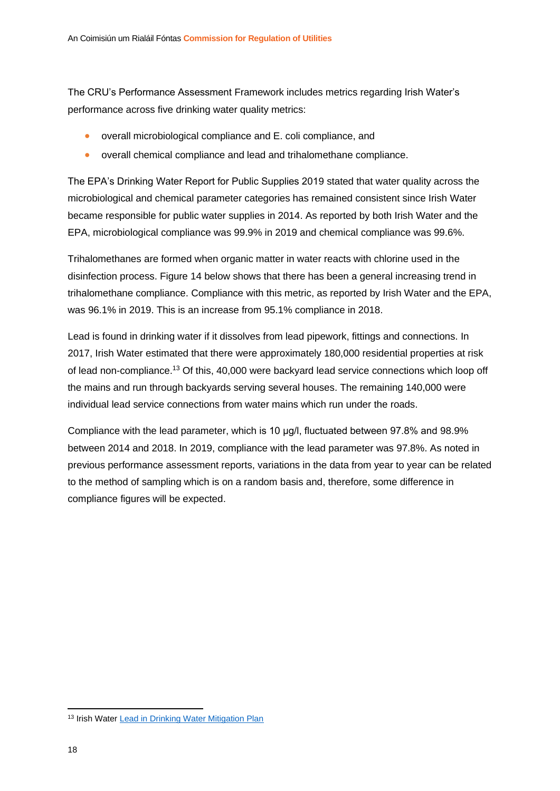The CRU's Performance Assessment Framework includes metrics regarding Irish Water's performance across five drinking water quality metrics:

- overall microbiological compliance and E. coli compliance, and
- overall chemical compliance and lead and trihalomethane compliance.

The EPA's Drinking Water Report for Public Supplies 2019 stated that water quality across the microbiological and chemical parameter categories has remained consistent since Irish Water became responsible for public water supplies in 2014. As reported by both Irish Water and the EPA, microbiological compliance was 99.9% in 2019 and chemical compliance was 99.6%.

Trihalomethanes are formed when organic matter in water reacts with chlorine used in the disinfection process. Figure 14 below shows that there has been a general increasing trend in trihalomethane compliance. Compliance with this metric, as reported by Irish Water and the EPA, was 96.1% in 2019. This is an increase from 95.1% compliance in 2018.

Lead is found in drinking water if it dissolves from lead pipework, fittings and connections. In 2017, Irish Water estimated that there were approximately 180,000 residential properties at risk of lead non-compliance.<sup>13</sup> Of this, 40,000 were backyard lead service connections which loop off the mains and run through backyards serving several houses. The remaining 140,000 were individual lead service connections from water mains which run under the roads.

Compliance with the lead parameter, which is 10 μg/l, fluctuated between 97.8% and 98.9% between 2014 and 2018. In 2019, compliance with the lead parameter was 97.8%. As noted in previous performance assessment reports, variations in the data from year to year can be related to the method of sampling which is on a random basis and, therefore, some difference in compliance figures will be expected.

<sup>&</sup>lt;sup>13</sup> Irish Water [Lead in Drinking Water Mitigation Plan](https://www.water.ie/docs/Lead-in-Drinking-Water-Mitigation-Plan.pdf)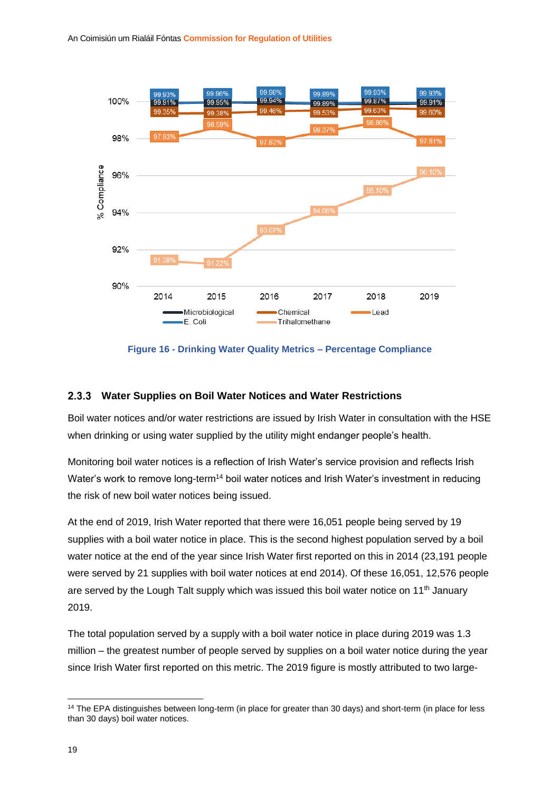

**Figure 16 - Drinking Water Quality Metrics – Percentage Compliance**

#### <span id="page-23-0"></span>**Water Supplies on Boil Water Notices and Water Restrictions**

Boil water notices and/or water restrictions are issued by Irish Water in consultation with the HSE when drinking or using water supplied by the utility might endanger people's health.

Monitoring boil water notices is a reflection of Irish Water's service provision and reflects Irish Water's work to remove long-term<sup>14</sup> boil water notices and Irish Water's investment in reducing the risk of new boil water notices being issued.

At the end of 2019, Irish Water reported that there were 16,051 people being served by 19 supplies with a boil water notice in place. This is the second highest population served by a boil water notice at the end of the year since Irish Water first reported on this in 2014 (23,191 people were served by 21 supplies with boil water notices at end 2014). Of these 16,051, 12,576 people are served by the Lough Talt supply which was issued this boil water notice on 11<sup>th</sup> January 2019.

The total population served by a supply with a boil water notice in place during 2019 was 1.3 million – the greatest number of people served by supplies on a boil water notice during the year since Irish Water first reported on this metric. The 2019 figure is mostly attributed to two large-

<sup>&</sup>lt;sup>14</sup> The EPA distinguishes between long-term (in place for greater than 30 days) and short-term (in place for less than 30 days) boil water notices.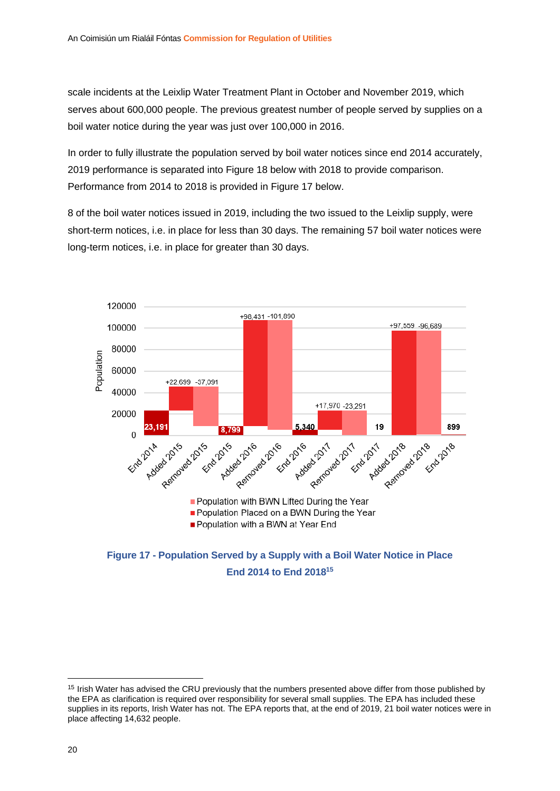scale incidents at the Leixlip Water Treatment Plant in October and November 2019, which serves about 600,000 people. The previous greatest number of people served by supplies on a boil water notice during the year was just over 100,000 in 2016.

In order to fully illustrate the population served by boil water notices since end 2014 accurately, 2019 performance is separated into Figure 18 below with 2018 to provide comparison. Performance from 2014 to 2018 is provided in Figure 17 below.

8 of the boil water notices issued in 2019, including the two issued to the Leixlip supply, were short-term notices, i.e. in place for less than 30 days. The remaining 57 boil water notices were long-term notices, i.e. in place for greater than 30 days.



**Figure 17 - Population Served by a Supply with a Boil Water Notice in Place End 2014 to End 2018<sup>15</sup>**

<sup>&</sup>lt;sup>15</sup> Irish Water has advised the CRU previously that the numbers presented above differ from those published by the EPA as clarification is required over responsibility for several small supplies. The EPA has included these supplies in its reports, Irish Water has not. The EPA reports that, at the end of 2019, 21 boil water notices were in place affecting 14,632 people.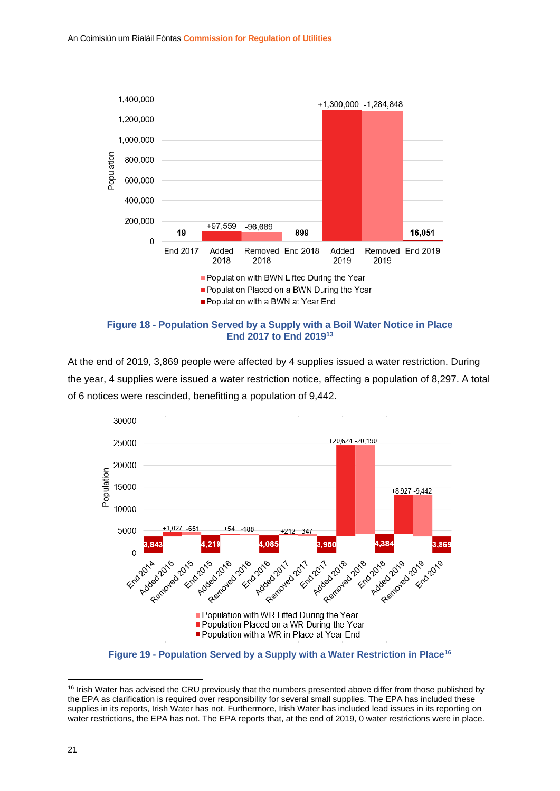



At the end of 2019, 3,869 people were affected by 4 supplies issued a water restriction. During the year, 4 supplies were issued a water restriction notice, affecting a population of 8,297. A total of 6 notices were rescinded, benefitting a population of 9,442.



**Figure 19 - Population Served by a Supply with a Water Restriction in Place<sup>16</sup>**

<sup>&</sup>lt;sup>16</sup> Irish Water has advised the CRU previously that the numbers presented above differ from those published by the EPA as clarification is required over responsibility for several small supplies. The EPA has included these supplies in its reports, Irish Water has not. Furthermore, Irish Water has included lead issues in its reporting on water restrictions, the EPA has not. The EPA reports that, at the end of 2019, 0 water restrictions were in place.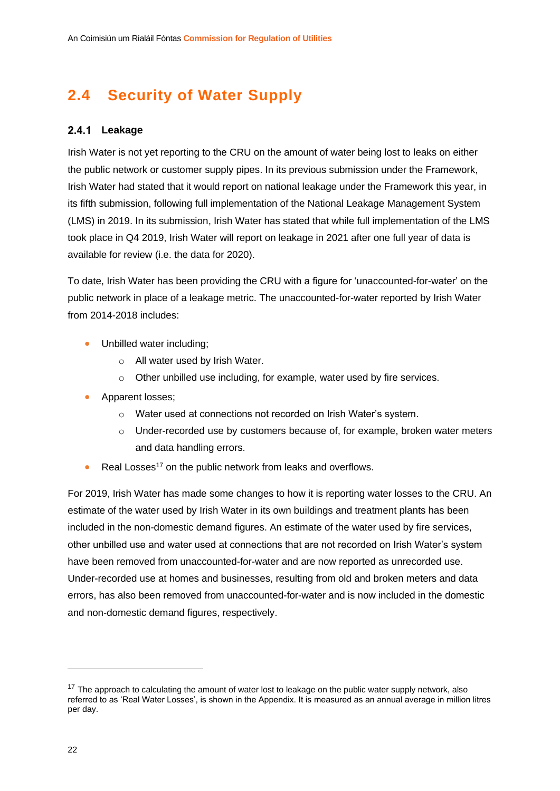## <span id="page-26-0"></span>**2.4 Security of Water Supply**

#### <span id="page-26-1"></span>2.4.1 Leakage

Irish Water is not yet reporting to the CRU on the amount of water being lost to leaks on either the public network or customer supply pipes. In its previous submission under the Framework, Irish Water had stated that it would report on national leakage under the Framework this year, in its fifth submission, following full implementation of the National Leakage Management System (LMS) in 2019. In its submission, Irish Water has stated that while full implementation of the LMS took place in Q4 2019, Irish Water will report on leakage in 2021 after one full year of data is available for review (i.e. the data for 2020).

To date, Irish Water has been providing the CRU with a figure for 'unaccounted-for-water' on the public network in place of a leakage metric. The unaccounted-for-water reported by Irish Water from 2014-2018 includes:

- Unbilled water including;
	- o All water used by Irish Water.
	- o Other unbilled use including, for example, water used by fire services.
- Apparent losses;
	- o Water used at connections not recorded on Irish Water's system.
	- o Under-recorded use by customers because of, for example, broken water meters and data handling errors.
- Real Losses<sup>17</sup> on the public network from leaks and overflows.

For 2019, Irish Water has made some changes to how it is reporting water losses to the CRU. An estimate of the water used by Irish Water in its own buildings and treatment plants has been included in the non-domestic demand figures. An estimate of the water used by fire services, other unbilled use and water used at connections that are not recorded on Irish Water's system have been removed from unaccounted-for-water and are now reported as unrecorded use. Under-recorded use at homes and businesses, resulting from old and broken meters and data errors, has also been removed from unaccounted-for-water and is now included in the domestic and non-domestic demand figures, respectively.

<sup>&</sup>lt;sup>17</sup> The approach to calculating the amount of water lost to leakage on the public water supply network, also referred to as 'Real Water Losses', is shown in the Appendix. It is measured as an annual average in million litres per day.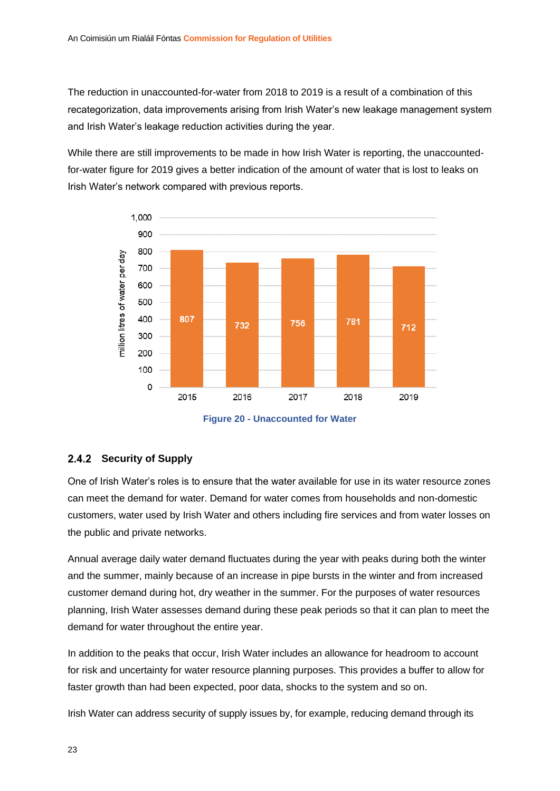The reduction in unaccounted-for-water from 2018 to 2019 is a result of a combination of this recategorization, data improvements arising from Irish Water's new leakage management system and Irish Water's leakage reduction activities during the year.

While there are still improvements to be made in how Irish Water is reporting, the unaccountedfor-water figure for 2019 gives a better indication of the amount of water that is lost to leaks on Irish Water's network compared with previous reports.



**Figure 20 - Unaccounted for Water**

#### <span id="page-27-0"></span>2.4.2 Security of Supply

One of Irish Water's roles is to ensure that the water available for use in its water resource zones can meet the demand for water. Demand for water comes from households and non-domestic customers, water used by Irish Water and others including fire services and from water losses on the public and private networks.

Annual average daily water demand fluctuates during the year with peaks during both the winter and the summer, mainly because of an increase in pipe bursts in the winter and from increased customer demand during hot, dry weather in the summer. For the purposes of water resources planning, Irish Water assesses demand during these peak periods so that it can plan to meet the demand for water throughout the entire year.

In addition to the peaks that occur, Irish Water includes an allowance for headroom to account for risk and uncertainty for water resource planning purposes. This provides a buffer to allow for faster growth than had been expected, poor data, shocks to the system and so on.

Irish Water can address security of supply issues by, for example, reducing demand through its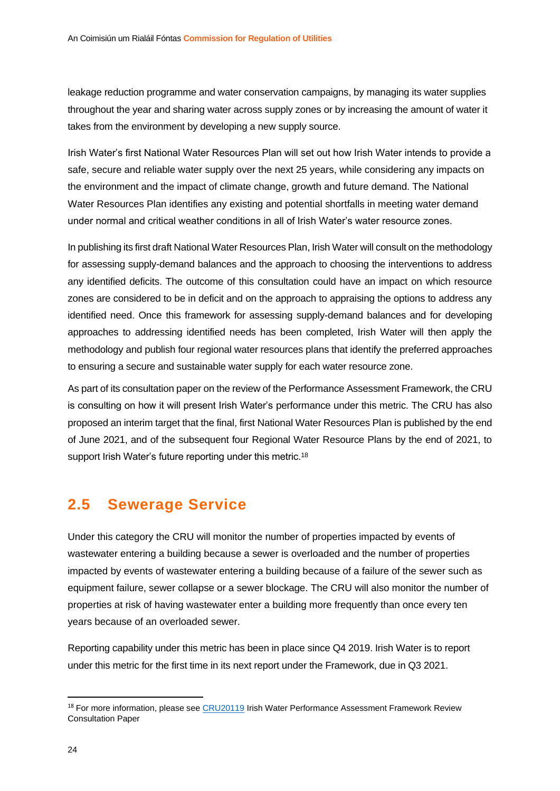leakage reduction programme and water conservation campaigns, by managing its water supplies throughout the year and sharing water across supply zones or by increasing the amount of water it takes from the environment by developing a new supply source.

Irish Water's first National Water Resources Plan will set out how Irish Water intends to provide a safe, secure and reliable water supply over the next 25 years, while considering any impacts on the environment and the impact of climate change, growth and future demand. The National Water Resources Plan identifies any existing and potential shortfalls in meeting water demand under normal and critical weather conditions in all of Irish Water's water resource zones.

In publishing its first draft National Water Resources Plan, Irish Water will consult on the methodology for assessing supply-demand balances and the approach to choosing the interventions to address any identified deficits. The outcome of this consultation could have an impact on which resource zones are considered to be in deficit and on the approach to appraising the options to address any identified need. Once this framework for assessing supply-demand balances and for developing approaches to addressing identified needs has been completed, Irish Water will then apply the methodology and publish four regional water resources plans that identify the preferred approaches to ensuring a secure and sustainable water supply for each water resource zone.

As part of its consultation paper on the review of the Performance Assessment Framework, the CRU is consulting on how it will present Irish Water's performance under this metric. The CRU has also proposed an interim target that the final, first National Water Resources Plan is published by the end of June 2021, and of the subsequent four Regional Water Resource Plans by the end of 2021, to support Irish Water's future reporting under this metric.<sup>18</sup>

### <span id="page-28-0"></span>**2.5 Sewerage Service**

Under this category the CRU will monitor the number of properties impacted by events of wastewater entering a building because a sewer is overloaded and the number of properties impacted by events of wastewater entering a building because of a failure of the sewer such as equipment failure, sewer collapse or a sewer blockage. The CRU will also monitor the number of properties at risk of having wastewater enter a building more frequently than once every ten years because of an overloaded sewer.

Reporting capability under this metric has been in place since Q4 2019. Irish Water is to report under this metric for the first time in its next report under the Framework, due in Q3 2021.

<sup>&</sup>lt;sup>18</sup> For more information, please see [CRU20119](https://www.cru.ie/wp-content/uploads/2020/10/CRU20119-Irish-Water-Performance-Assessment-Framework-Review-Consultation-Paper.pdf) Irish Water Performance Assessment Framework Review Consultation Paper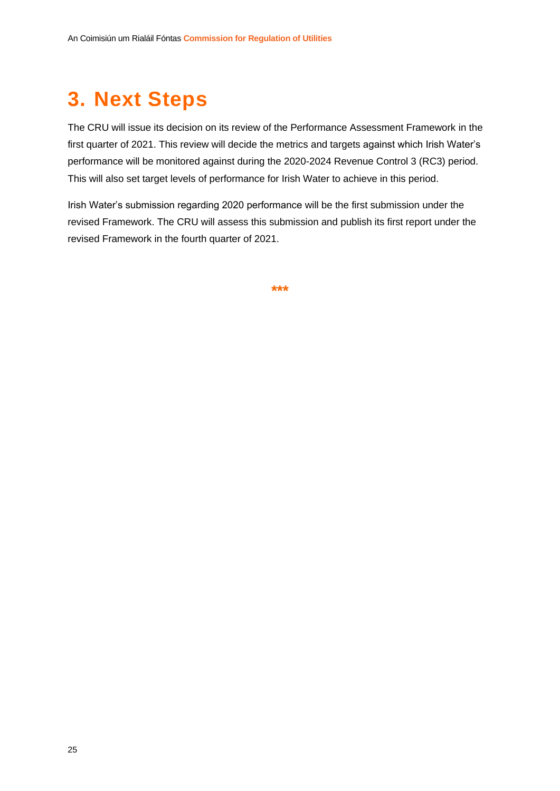## <span id="page-29-0"></span>**3. Next Steps**

The CRU will issue its decision on its review of the Performance Assessment Framework in the first quarter of 2021. This review will decide the metrics and targets against which Irish Water's performance will be monitored against during the 2020-2024 Revenue Control 3 (RC3) period. This will also set target levels of performance for Irish Water to achieve in this period.

Irish Water's submission regarding 2020 performance will be the first submission under the revised Framework. The CRU will assess this submission and publish its first report under the revised Framework in the fourth quarter of 2021.

**\*\*\***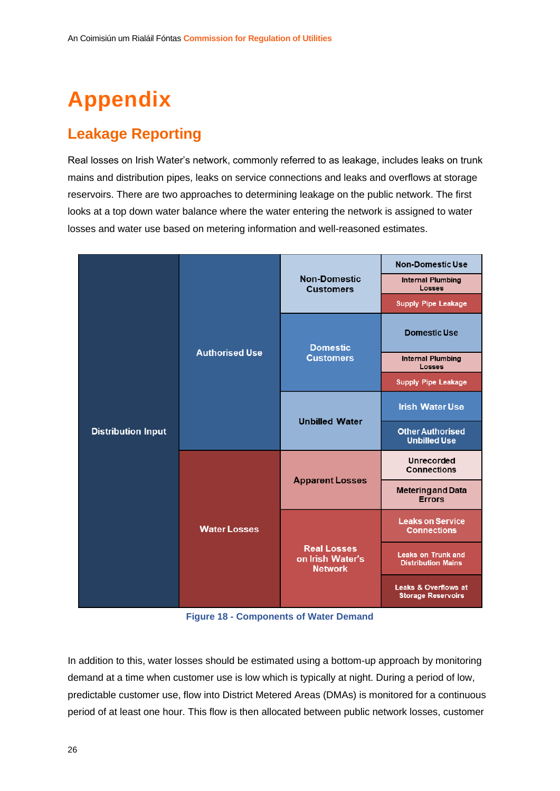# <span id="page-30-0"></span>**Appendix**

## **Leakage Reporting**

Real losses on Irish Water's network, commonly referred to as leakage, includes leaks on trunk mains and distribution pipes, leaks on service connections and leaks and overflows at storage reservoirs. There are two approaches to determining leakage on the public network. The first looks at a top down water balance where the water entering the network is assigned to water losses and water use based on metering information and well-reasoned estimates.

|                           | <b>Authorised Use</b> |                                                          | <b>Non-Domestic Use</b>                                |
|---------------------------|-----------------------|----------------------------------------------------------|--------------------------------------------------------|
|                           |                       | <b>Non-Domestic</b><br><b>Customers</b>                  | <b>Internal Plumbing</b><br><b>Losses</b>              |
|                           |                       |                                                          | <b>Supply Pipe Leakage</b>                             |
|                           |                       | <b>Domestic</b><br><b>Customers</b>                      | <b>Domestic Use</b>                                    |
|                           |                       |                                                          | <b>Internal Plumbing</b><br>Losses                     |
|                           |                       |                                                          | <b>Supply Pipe Leakage</b>                             |
|                           |                       | <b>Unbilled Water</b>                                    | <b>Irish Water Use</b>                                 |
| <b>Distribution Input</b> |                       |                                                          | <b>Other Authorised</b><br><b>Unbilled Use</b>         |
|                           | <b>Water Losses</b>   | <b>Apparent Losses</b>                                   | <b>Unrecorded</b><br><b>Connections</b>                |
|                           |                       |                                                          | <b>Metering and Data</b><br><b>Errors</b>              |
|                           |                       |                                                          | <b>Leaks on Service</b><br><b>Connections</b>          |
|                           |                       | <b>Real Losses</b><br>on Irish Water's<br><b>Network</b> | <b>Leaks on Trunk and</b><br><b>Distribution Mains</b> |
|                           |                       |                                                          | Leaks & Overflows at<br><b>Storage Reservoirs</b>      |

**Figure 18 - Components of Water Demand**

In addition to this, water losses should be estimated using a bottom-up approach by monitoring demand at a time when customer use is low which is typically at night. During a period of low, predictable customer use, flow into District Metered Areas (DMAs) is monitored for a continuous period of at least one hour. This flow is then allocated between public network losses, customer